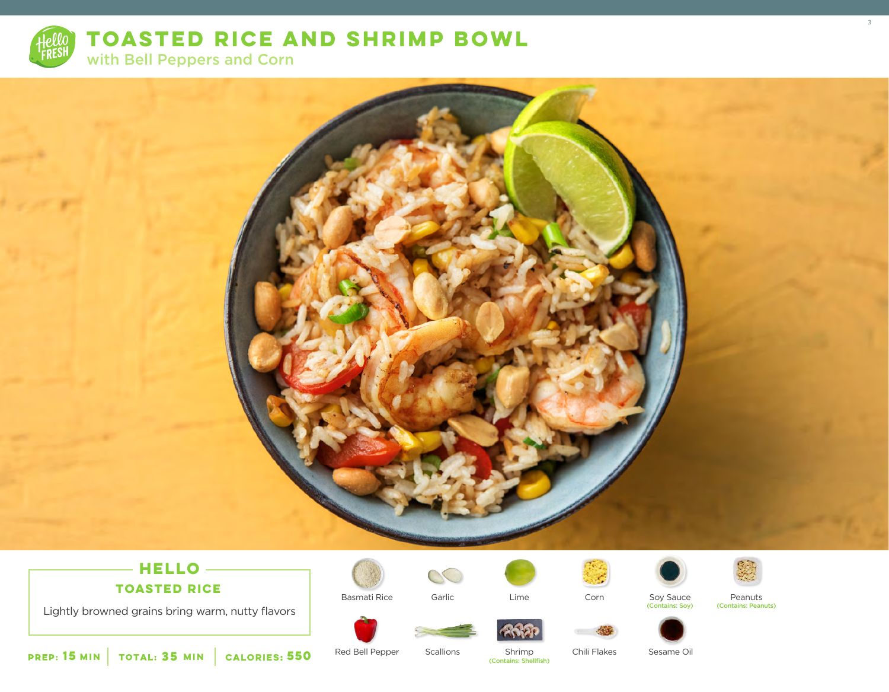

**TOASTED RICE AND SHRIMP BOWL** 

with Bell Peppers and Corn



# $-$ **HELLO** —

**TOASTED RICE**

Lightly browned grains bring warm, nutty flavors



Basmati Rice Garlic



Corn







3

Lime Corn Soy Sauce Peanuts<br>Contains: Soy) (Contains: Peanuts (Contains: Peanuts)









**15** MIN | TOTAL: **35** MIN | CALORIES:

Red Bell Pepper

Scallions Shrimp **550** (Contains: Shellfish)

Chili Flakes Sesame Oil